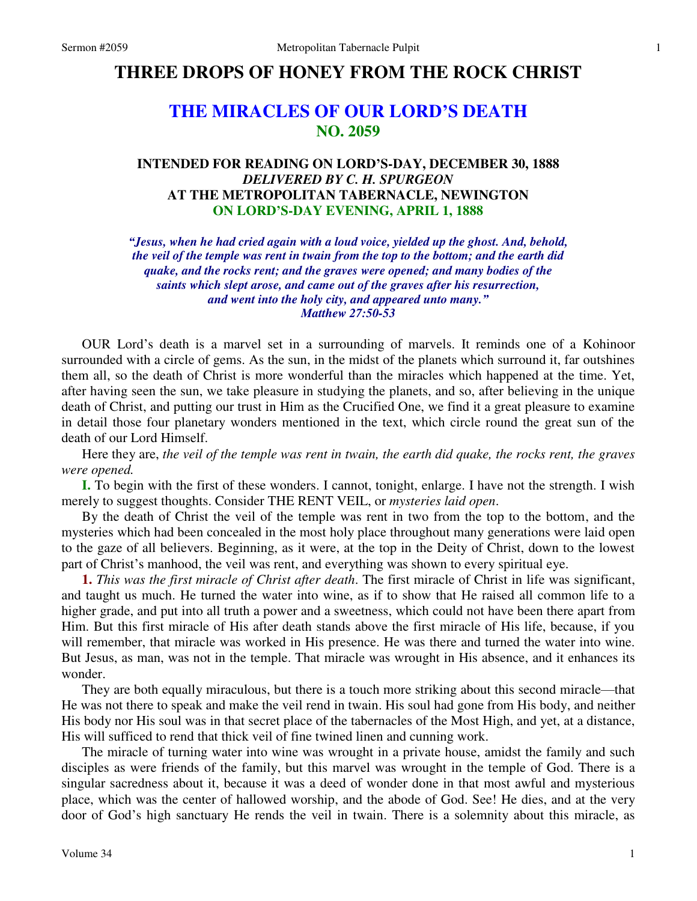## **THREE DROPS OF HONEY FROM THE ROCK CHRIST**

# **THE MIRACLES OF OUR LORD'S DEATH NO. 2059**

### **INTENDED FOR READING ON LORD'S-DAY, DECEMBER 30, 1888**  *DELIVERED BY C. H. SPURGEON*  **AT THE METROPOLITAN TABERNACLE, NEWINGTON ON LORD'S-DAY EVENING, APRIL 1, 1888**

*"Jesus, when he had cried again with a loud voice, yielded up the ghost. And, behold, the veil of the temple was rent in twain from the top to the bottom; and the earth did quake, and the rocks rent; and the graves were opened; and many bodies of the saints which slept arose, and came out of the graves after his resurrection, and went into the holy city, and appeared unto many." Matthew 27:50-53* 

OUR Lord's death is a marvel set in a surrounding of marvels. It reminds one of a Kohinoor surrounded with a circle of gems. As the sun, in the midst of the planets which surround it, far outshines them all, so the death of Christ is more wonderful than the miracles which happened at the time. Yet, after having seen the sun, we take pleasure in studying the planets, and so, after believing in the unique death of Christ, and putting our trust in Him as the Crucified One, we find it a great pleasure to examine in detail those four planetary wonders mentioned in the text, which circle round the great sun of the death of our Lord Himself.

Here they are, *the veil of the temple was rent in twain, the earth did quake, the rocks rent, the graves were opened.*

**I.** To begin with the first of these wonders. I cannot, tonight, enlarge. I have not the strength. I wish merely to suggest thoughts. Consider THE RENT VEIL, or *mysteries laid open*.

By the death of Christ the veil of the temple was rent in two from the top to the bottom, and the mysteries which had been concealed in the most holy place throughout many generations were laid open to the gaze of all believers. Beginning, as it were, at the top in the Deity of Christ, down to the lowest part of Christ's manhood, the veil was rent, and everything was shown to every spiritual eye.

**1.** *This was the first miracle of Christ after death*. The first miracle of Christ in life was significant, and taught us much. He turned the water into wine, as if to show that He raised all common life to a higher grade, and put into all truth a power and a sweetness, which could not have been there apart from Him. But this first miracle of His after death stands above the first miracle of His life, because, if you will remember, that miracle was worked in His presence. He was there and turned the water into wine. But Jesus, as man, was not in the temple. That miracle was wrought in His absence, and it enhances its wonder.

They are both equally miraculous, but there is a touch more striking about this second miracle—that He was not there to speak and make the veil rend in twain. His soul had gone from His body, and neither His body nor His soul was in that secret place of the tabernacles of the Most High, and yet, at a distance, His will sufficed to rend that thick veil of fine twined linen and cunning work.

The miracle of turning water into wine was wrought in a private house, amidst the family and such disciples as were friends of the family, but this marvel was wrought in the temple of God. There is a singular sacredness about it, because it was a deed of wonder done in that most awful and mysterious place, which was the center of hallowed worship, and the abode of God. See! He dies, and at the very door of God's high sanctuary He rends the veil in twain. There is a solemnity about this miracle, as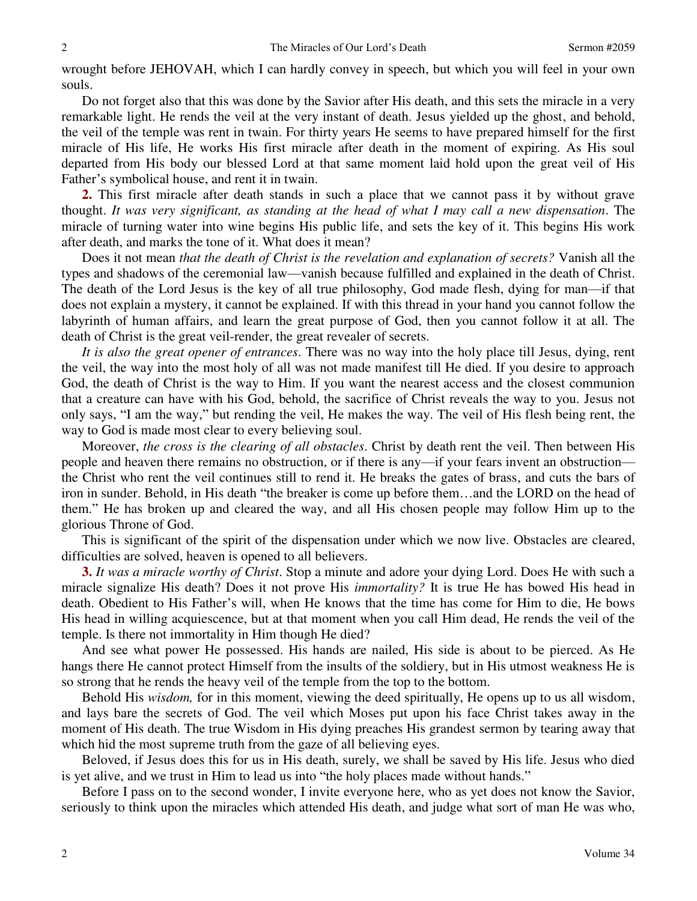wrought before JEHOVAH, which I can hardly convey in speech, but which you will feel in your own souls.

Do not forget also that this was done by the Savior after His death, and this sets the miracle in a very remarkable light. He rends the veil at the very instant of death. Jesus yielded up the ghost, and behold, the veil of the temple was rent in twain. For thirty years He seems to have prepared himself for the first miracle of His life, He works His first miracle after death in the moment of expiring. As His soul departed from His body our blessed Lord at that same moment laid hold upon the great veil of His Father's symbolical house, and rent it in twain.

**2.** This first miracle after death stands in such a place that we cannot pass it by without grave thought. *It was very significant, as standing at the head of what I may call a new dispensation*. The miracle of turning water into wine begins His public life, and sets the key of it. This begins His work after death, and marks the tone of it. What does it mean?

Does it not mean *that the death of Christ is the revelation and explanation of secrets?* Vanish all the types and shadows of the ceremonial law—vanish because fulfilled and explained in the death of Christ. The death of the Lord Jesus is the key of all true philosophy, God made flesh, dying for man—if that does not explain a mystery, it cannot be explained. If with this thread in your hand you cannot follow the labyrinth of human affairs, and learn the great purpose of God, then you cannot follow it at all. The death of Christ is the great veil-render, the great revealer of secrets.

*It is also the great opener of entrances*. There was no way into the holy place till Jesus, dying, rent the veil, the way into the most holy of all was not made manifest till He died. If you desire to approach God, the death of Christ is the way to Him. If you want the nearest access and the closest communion that a creature can have with his God, behold, the sacrifice of Christ reveals the way to you. Jesus not only says, "I am the way," but rending the veil, He makes the way. The veil of His flesh being rent, the way to God is made most clear to every believing soul.

Moreover, *the cross is the clearing of all obstacles*. Christ by death rent the veil. Then between His people and heaven there remains no obstruction, or if there is any—if your fears invent an obstruction the Christ who rent the veil continues still to rend it. He breaks the gates of brass, and cuts the bars of iron in sunder. Behold, in His death "the breaker is come up before them…and the LORD on the head of them." He has broken up and cleared the way, and all His chosen people may follow Him up to the glorious Throne of God.

This is significant of the spirit of the dispensation under which we now live. Obstacles are cleared, difficulties are solved, heaven is opened to all believers.

**3.** *It was a miracle worthy of Christ*. Stop a minute and adore your dying Lord. Does He with such a miracle signalize His death? Does it not prove His *immortality?* It is true He has bowed His head in death. Obedient to His Father's will, when He knows that the time has come for Him to die, He bows His head in willing acquiescence, but at that moment when you call Him dead, He rends the veil of the temple. Is there not immortality in Him though He died?

And see what power He possessed. His hands are nailed, His side is about to be pierced. As He hangs there He cannot protect Himself from the insults of the soldiery, but in His utmost weakness He is so strong that he rends the heavy veil of the temple from the top to the bottom.

Behold His *wisdom,* for in this moment, viewing the deed spiritually, He opens up to us all wisdom, and lays bare the secrets of God. The veil which Moses put upon his face Christ takes away in the moment of His death. The true Wisdom in His dying preaches His grandest sermon by tearing away that which hid the most supreme truth from the gaze of all believing eyes.

Beloved, if Jesus does this for us in His death, surely, we shall be saved by His life. Jesus who died is yet alive, and we trust in Him to lead us into "the holy places made without hands."

Before I pass on to the second wonder, I invite everyone here, who as yet does not know the Savior, seriously to think upon the miracles which attended His death, and judge what sort of man He was who,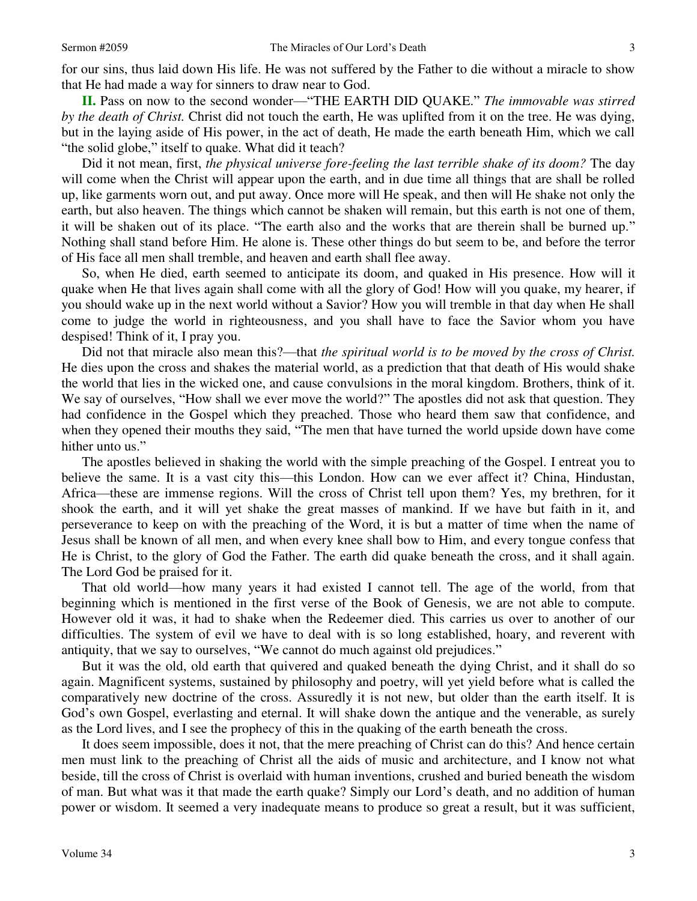for our sins, thus laid down His life. He was not suffered by the Father to die without a miracle to show that He had made a way for sinners to draw near to God.

**II.** Pass on now to the second wonder—"THE EARTH DID QUAKE." *The immovable was stirred by the death of Christ.* Christ did not touch the earth, He was uplifted from it on the tree. He was dying, but in the laying aside of His power, in the act of death, He made the earth beneath Him, which we call "the solid globe," itself to quake. What did it teach?

Did it not mean, first, *the physical universe fore-feeling the last terrible shake of its doom?* The day will come when the Christ will appear upon the earth, and in due time all things that are shall be rolled up, like garments worn out, and put away. Once more will He speak, and then will He shake not only the earth, but also heaven. The things which cannot be shaken will remain, but this earth is not one of them, it will be shaken out of its place. "The earth also and the works that are therein shall be burned up." Nothing shall stand before Him. He alone is. These other things do but seem to be, and before the terror of His face all men shall tremble, and heaven and earth shall flee away.

So, when He died, earth seemed to anticipate its doom, and quaked in His presence. How will it quake when He that lives again shall come with all the glory of God! How will you quake, my hearer, if you should wake up in the next world without a Savior? How you will tremble in that day when He shall come to judge the world in righteousness, and you shall have to face the Savior whom you have despised! Think of it, I pray you.

Did not that miracle also mean this?—that *the spiritual world is to be moved by the cross of Christ.* He dies upon the cross and shakes the material world, as a prediction that that death of His would shake the world that lies in the wicked one, and cause convulsions in the moral kingdom. Brothers, think of it. We say of ourselves, "How shall we ever move the world?" The apostles did not ask that question. They had confidence in the Gospel which they preached. Those who heard them saw that confidence, and when they opened their mouths they said, "The men that have turned the world upside down have come hither unto us."

The apostles believed in shaking the world with the simple preaching of the Gospel. I entreat you to believe the same. It is a vast city this—this London. How can we ever affect it? China, Hindustan, Africa—these are immense regions. Will the cross of Christ tell upon them? Yes, my brethren, for it shook the earth, and it will yet shake the great masses of mankind. If we have but faith in it, and perseverance to keep on with the preaching of the Word, it is but a matter of time when the name of Jesus shall be known of all men, and when every knee shall bow to Him, and every tongue confess that He is Christ, to the glory of God the Father. The earth did quake beneath the cross, and it shall again. The Lord God be praised for it.

That old world—how many years it had existed I cannot tell. The age of the world, from that beginning which is mentioned in the first verse of the Book of Genesis, we are not able to compute. However old it was, it had to shake when the Redeemer died. This carries us over to another of our difficulties. The system of evil we have to deal with is so long established, hoary, and reverent with antiquity, that we say to ourselves, "We cannot do much against old prejudices."

But it was the old, old earth that quivered and quaked beneath the dying Christ, and it shall do so again. Magnificent systems, sustained by philosophy and poetry, will yet yield before what is called the comparatively new doctrine of the cross. Assuredly it is not new, but older than the earth itself. It is God's own Gospel, everlasting and eternal. It will shake down the antique and the venerable, as surely as the Lord lives, and I see the prophecy of this in the quaking of the earth beneath the cross.

It does seem impossible, does it not, that the mere preaching of Christ can do this? And hence certain men must link to the preaching of Christ all the aids of music and architecture, and I know not what beside, till the cross of Christ is overlaid with human inventions, crushed and buried beneath the wisdom of man. But what was it that made the earth quake? Simply our Lord's death, and no addition of human power or wisdom. It seemed a very inadequate means to produce so great a result, but it was sufficient,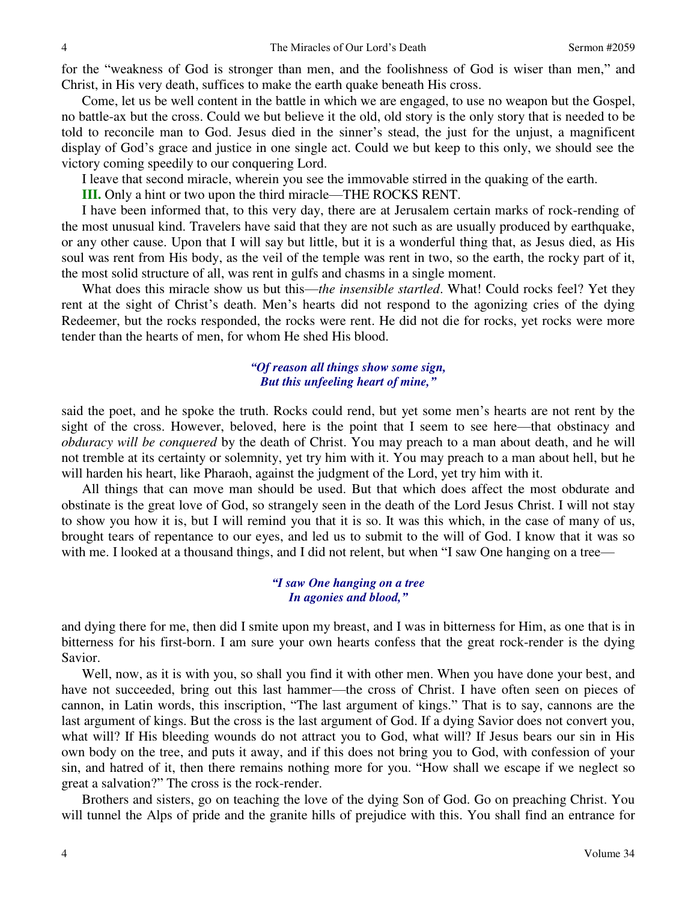for the "weakness of God is stronger than men, and the foolishness of God is wiser than men," and Christ, in His very death, suffices to make the earth quake beneath His cross.

Come, let us be well content in the battle in which we are engaged, to use no weapon but the Gospel, no battle-ax but the cross. Could we but believe it the old, old story is the only story that is needed to be told to reconcile man to God. Jesus died in the sinner's stead, the just for the unjust, a magnificent display of God's grace and justice in one single act. Could we but keep to this only, we should see the victory coming speedily to our conquering Lord.

I leave that second miracle, wherein you see the immovable stirred in the quaking of the earth.

**III.** Only a hint or two upon the third miracle—THE ROCKS RENT.

I have been informed that, to this very day, there are at Jerusalem certain marks of rock-rending of the most unusual kind. Travelers have said that they are not such as are usually produced by earthquake, or any other cause. Upon that I will say but little, but it is a wonderful thing that, as Jesus died, as His soul was rent from His body, as the veil of the temple was rent in two, so the earth, the rocky part of it, the most solid structure of all, was rent in gulfs and chasms in a single moment.

What does this miracle show us but this—*the insensible startled*. What! Could rocks feel? Yet they rent at the sight of Christ's death. Men's hearts did not respond to the agonizing cries of the dying Redeemer, but the rocks responded, the rocks were rent. He did not die for rocks, yet rocks were more tender than the hearts of men, for whom He shed His blood.

#### *"Of reason all things show some sign, But this unfeeling heart of mine,"*

said the poet, and he spoke the truth. Rocks could rend, but yet some men's hearts are not rent by the sight of the cross. However, beloved, here is the point that I seem to see here—that obstinacy and *obduracy will be conquered* by the death of Christ. You may preach to a man about death, and he will not tremble at its certainty or solemnity, yet try him with it. You may preach to a man about hell, but he will harden his heart, like Pharaoh, against the judgment of the Lord, yet try him with it.

All things that can move man should be used. But that which does affect the most obdurate and obstinate is the great love of God, so strangely seen in the death of the Lord Jesus Christ. I will not stay to show you how it is, but I will remind you that it is so. It was this which, in the case of many of us, brought tears of repentance to our eyes, and led us to submit to the will of God. I know that it was so with me. I looked at a thousand things, and I did not relent, but when "I saw One hanging on a tree—

#### *"I saw One hanging on a tree In agonies and blood,"*

and dying there for me, then did I smite upon my breast, and I was in bitterness for Him, as one that is in bitterness for his first-born. I am sure your own hearts confess that the great rock-render is the dying Savior.

Well, now, as it is with you, so shall you find it with other men. When you have done your best, and have not succeeded, bring out this last hammer—the cross of Christ. I have often seen on pieces of cannon, in Latin words, this inscription, "The last argument of kings." That is to say, cannons are the last argument of kings. But the cross is the last argument of God. If a dying Savior does not convert you, what will? If His bleeding wounds do not attract you to God, what will? If Jesus bears our sin in His own body on the tree, and puts it away, and if this does not bring you to God, with confession of your sin, and hatred of it, then there remains nothing more for you. "How shall we escape if we neglect so great a salvation?" The cross is the rock-render.

Brothers and sisters, go on teaching the love of the dying Son of God. Go on preaching Christ. You will tunnel the Alps of pride and the granite hills of prejudice with this. You shall find an entrance for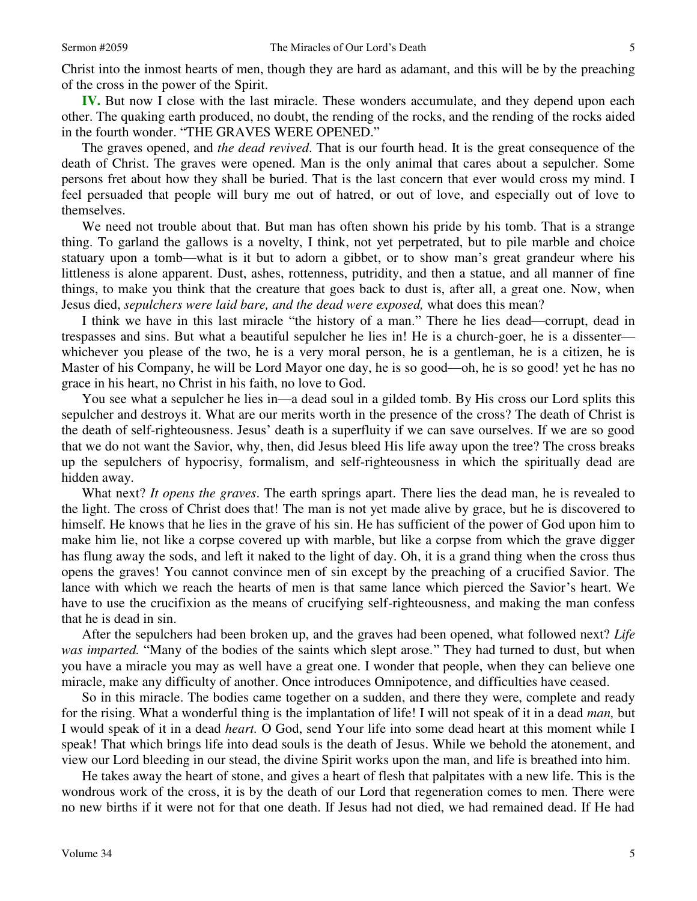**IV.** But now I close with the last miracle. These wonders accumulate, and they depend upon each other. The quaking earth produced, no doubt, the rending of the rocks, and the rending of the rocks aided in the fourth wonder. "THE GRAVES WERE OPENED."

The graves opened, and *the dead revived*. That is our fourth head. It is the great consequence of the death of Christ. The graves were opened. Man is the only animal that cares about a sepulcher. Some persons fret about how they shall be buried. That is the last concern that ever would cross my mind. I feel persuaded that people will bury me out of hatred, or out of love, and especially out of love to themselves.

We need not trouble about that. But man has often shown his pride by his tomb. That is a strange thing. To garland the gallows is a novelty, I think, not yet perpetrated, but to pile marble and choice statuary upon a tomb—what is it but to adorn a gibbet, or to show man's great grandeur where his littleness is alone apparent. Dust, ashes, rottenness, putridity, and then a statue, and all manner of fine things, to make you think that the creature that goes back to dust is, after all, a great one. Now, when Jesus died, *sepulchers were laid bare, and the dead were exposed,* what does this mean?

I think we have in this last miracle "the history of a man." There he lies dead—corrupt, dead in trespasses and sins. But what a beautiful sepulcher he lies in! He is a church-goer, he is a dissenter whichever you please of the two, he is a very moral person, he is a gentleman, he is a citizen, he is Master of his Company, he will be Lord Mayor one day, he is so good—oh, he is so good! yet he has no grace in his heart, no Christ in his faith, no love to God.

You see what a sepulcher he lies in—a dead soul in a gilded tomb. By His cross our Lord splits this sepulcher and destroys it. What are our merits worth in the presence of the cross? The death of Christ is the death of self-righteousness. Jesus' death is a superfluity if we can save ourselves. If we are so good that we do not want the Savior, why, then, did Jesus bleed His life away upon the tree? The cross breaks up the sepulchers of hypocrisy, formalism, and self-righteousness in which the spiritually dead are hidden away.

What next? *It opens the graves*. The earth springs apart. There lies the dead man, he is revealed to the light. The cross of Christ does that! The man is not yet made alive by grace, but he is discovered to himself. He knows that he lies in the grave of his sin. He has sufficient of the power of God upon him to make him lie, not like a corpse covered up with marble, but like a corpse from which the grave digger has flung away the sods, and left it naked to the light of day. Oh, it is a grand thing when the cross thus opens the graves! You cannot convince men of sin except by the preaching of a crucified Savior. The lance with which we reach the hearts of men is that same lance which pierced the Savior's heart. We have to use the crucifixion as the means of crucifying self-righteousness, and making the man confess that he is dead in sin.

After the sepulchers had been broken up, and the graves had been opened, what followed next? *Life was imparted.* "Many of the bodies of the saints which slept arose." They had turned to dust, but when you have a miracle you may as well have a great one. I wonder that people, when they can believe one miracle, make any difficulty of another. Once introduces Omnipotence, and difficulties have ceased.

So in this miracle. The bodies came together on a sudden, and there they were, complete and ready for the rising. What a wonderful thing is the implantation of life! I will not speak of it in a dead *man,* but I would speak of it in a dead *heart.* O God, send Your life into some dead heart at this moment while I speak! That which brings life into dead souls is the death of Jesus. While we behold the atonement, and view our Lord bleeding in our stead, the divine Spirit works upon the man, and life is breathed into him.

He takes away the heart of stone, and gives a heart of flesh that palpitates with a new life. This is the wondrous work of the cross, it is by the death of our Lord that regeneration comes to men. There were no new births if it were not for that one death. If Jesus had not died, we had remained dead. If He had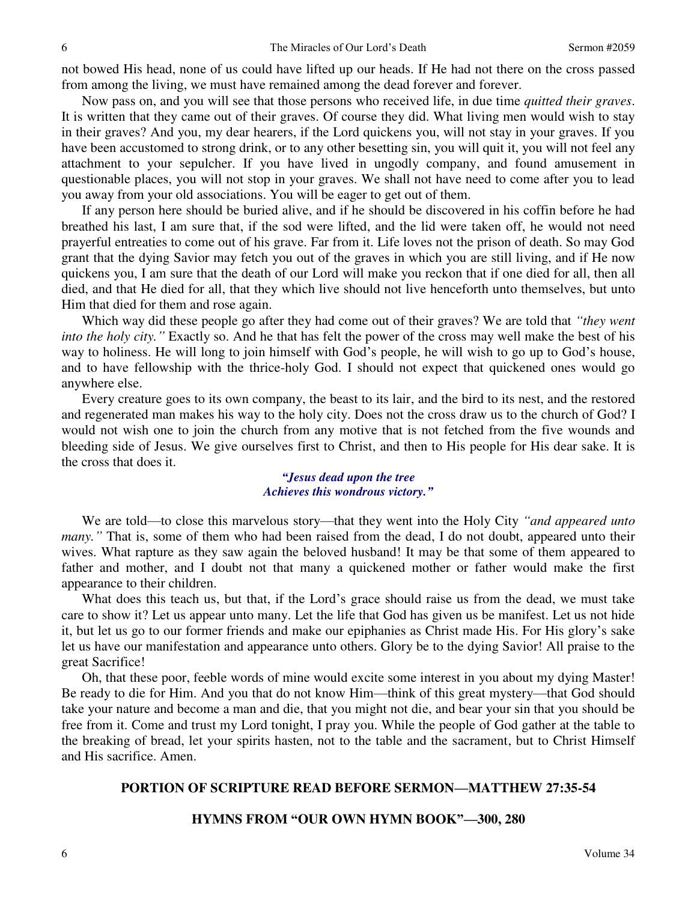not bowed His head, none of us could have lifted up our heads. If He had not there on the cross passed from among the living, we must have remained among the dead forever and forever.

Now pass on, and you will see that those persons who received life, in due time *quitted their graves*. It is written that they came out of their graves. Of course they did. What living men would wish to stay in their graves? And you, my dear hearers, if the Lord quickens you, will not stay in your graves. If you have been accustomed to strong drink, or to any other besetting sin, you will quit it, you will not feel any attachment to your sepulcher. If you have lived in ungodly company, and found amusement in questionable places, you will not stop in your graves. We shall not have need to come after you to lead you away from your old associations. You will be eager to get out of them.

If any person here should be buried alive, and if he should be discovered in his coffin before he had breathed his last, I am sure that, if the sod were lifted, and the lid were taken off, he would not need prayerful entreaties to come out of his grave. Far from it. Life loves not the prison of death. So may God grant that the dying Savior may fetch you out of the graves in which you are still living, and if He now quickens you, I am sure that the death of our Lord will make you reckon that if one died for all, then all died, and that He died for all, that they which live should not live henceforth unto themselves, but unto Him that died for them and rose again.

Which way did these people go after they had come out of their graves? We are told that *"they went into the holy city."* Exactly so. And he that has felt the power of the cross may well make the best of his way to holiness. He will long to join himself with God's people, he will wish to go up to God's house, and to have fellowship with the thrice-holy God. I should not expect that quickened ones would go anywhere else.

Every creature goes to its own company, the beast to its lair, and the bird to its nest, and the restored and regenerated man makes his way to the holy city. Does not the cross draw us to the church of God? I would not wish one to join the church from any motive that is not fetched from the five wounds and bleeding side of Jesus. We give ourselves first to Christ, and then to His people for His dear sake. It is the cross that does it.

#### *"Jesus dead upon the tree Achieves this wondrous victory."*

We are told—to close this marvelous story—that they went into the Holy City *"and appeared unto many.* " That is, some of them who had been raised from the dead, I do not doubt, appeared unto their wives. What rapture as they saw again the beloved husband! It may be that some of them appeared to father and mother, and I doubt not that many a quickened mother or father would make the first appearance to their children.

What does this teach us, but that, if the Lord's grace should raise us from the dead, we must take care to show it? Let us appear unto many. Let the life that God has given us be manifest. Let us not hide it, but let us go to our former friends and make our epiphanies as Christ made His. For His glory's sake let us have our manifestation and appearance unto others. Glory be to the dying Savior! All praise to the great Sacrifice!

Oh, that these poor, feeble words of mine would excite some interest in you about my dying Master! Be ready to die for Him. And you that do not know Him—think of this great mystery—that God should take your nature and become a man and die, that you might not die, and bear your sin that you should be free from it. Come and trust my Lord tonight, I pray you. While the people of God gather at the table to the breaking of bread, let your spirits hasten, not to the table and the sacrament, but to Christ Himself and His sacrifice. Amen.

#### **PORTION OF SCRIPTURE READ BEFORE SERMON—MATTHEW 27:35-54**

#### **HYMNS FROM "OUR OWN HYMN BOOK"—300, 280**